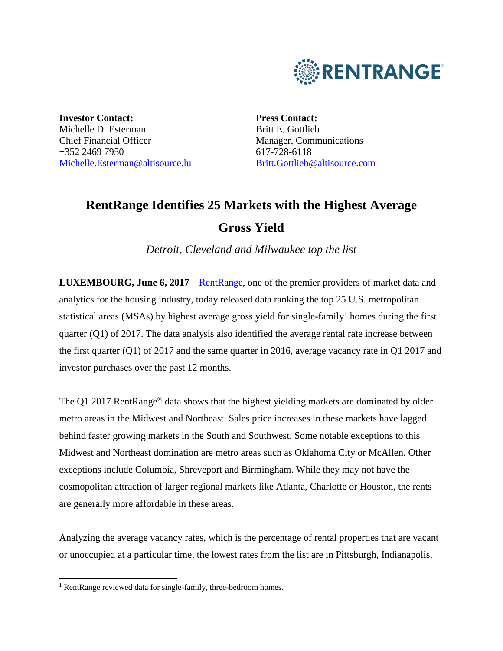

**Investor Contact:** Michelle D. Esterman Chief Financial Officer +352 2469 7950 [Michelle.Esterman@altisource.lu](mailto:Michelle.Esterman@altisource.lu) **Press Contact:** Britt E. Gottlieb Manager, Communications 617-728-6118 [Britt.Gottlieb@altisource.com](mailto:Nicole.Messier@altisource.com)

# **RentRange Identifies 25 Markets with the Highest Average Gross Yield**

*Detroit, Cleveland and Milwaukee top the list*

**LUXEMBOURG, June 6, 2017** – [RentRange,](https://www.rentrange.com/home/?utm_campaign=RRdataQ12017&utm_source=PR&utm_medium=PR&utm_content=lead_link) one of the premier providers of market data and analytics for the housing industry, today released data ranking the top 25 U.S. metropolitan statistical areas (MSAs) by highest average gross yield for single-family<sup>1</sup> homes during the first quarter (Q1) of 2017. The data analysis also identified the average rental rate increase between the first quarter (Q1) of 2017 and the same quarter in 2016, average vacancy rate in Q1 2017 and investor purchases over the past 12 months.

The Q1 2017 RentRange<sup>®</sup> data shows that the highest yielding markets are dominated by older metro areas in the Midwest and Northeast. Sales price increases in these markets have lagged behind faster growing markets in the South and Southwest. Some notable exceptions to this Midwest and Northeast domination are metro areas such as Oklahoma City or McAllen. Other exceptions include Columbia, Shreveport and Birmingham. While they may not have the cosmopolitan attraction of larger regional markets like Atlanta, Charlotte or Houston, the rents are generally more affordable in these areas.

Analyzing the average vacancy rates, which is the percentage of rental properties that are vacant or unoccupied at a particular time, the lowest rates from the list are in Pittsburgh, Indianapolis,

l

<sup>&</sup>lt;sup>1</sup> RentRange reviewed data for single-family, three-bedroom homes.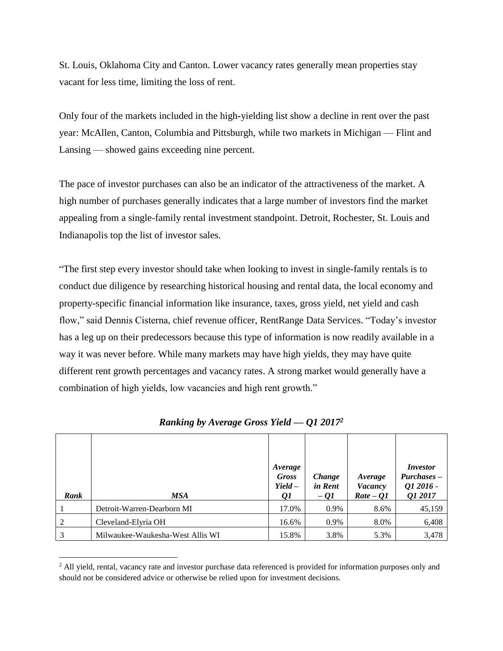St. Louis, Oklahoma City and Canton. Lower vacancy rates generally mean properties stay vacant for less time, limiting the loss of rent.

Only four of the markets included in the high**-**yielding list show a decline in rent over the past year: McAllen, Canton, Columbia and Pittsburgh, while two markets in Michigan — Flint and Lansing — showed gains exceeding nine percent.

The pace of investor purchases can also be an indicator of the attractiveness of the market. A high number of purchases generally indicates that a large number of investors find the market appealing from a single-family rental investment standpoint. Detroit, Rochester, St. Louis and Indianapolis top the list of investor sales.

"The first step every investor should take when looking to invest in single-family rentals is to conduct due diligence by researching historical housing and rental data, the local economy and property-specific financial information like insurance, taxes, gross yield, net yield and cash flow," said Dennis Cisterna, chief revenue officer, RentRange Data Services. "Today's investor has a leg up on their predecessors because this type of information is now readily available in a way it was never before. While many markets may have high yields, they may have quite different rent growth percentages and vacancy rates. A strong market would generally have a combination of high yields, low vacancies and high rent growth."

|      |                                  | Average<br><b>Gross</b><br>$Yield -$ | Change<br>in Rent | Average<br><b>Vacancy</b> | <i>Investor</i><br>$Purchases -$<br>Q1 2016 - |
|------|----------------------------------|--------------------------------------|-------------------|---------------------------|-----------------------------------------------|
| Rank | MSA                              | Q1                                   | $-QI$             | $Rate - Q1$               | Q1 2017                                       |
|      | Detroit-Warren-Dearborn MI       | 17.0%                                | 0.9%              | 8.6%                      | 45,159                                        |
| 2    | Cleveland-Elyria OH              | 16.6%                                | 0.9%              | 8.0%                      | 6,408                                         |
| 3    | Milwaukee-Waukesha-West Allis WI | 15.8%                                | 3.8%              | 5.3%                      | 3,478                                         |

*Ranking by Average Gross Yield — Q1 2017<sup>2</sup>*

l

<sup>&</sup>lt;sup>2</sup> All yield, rental, vacancy rate and investor purchase data referenced is provided for information purposes only and should not be considered advice or otherwise be relied upon for investment decisions.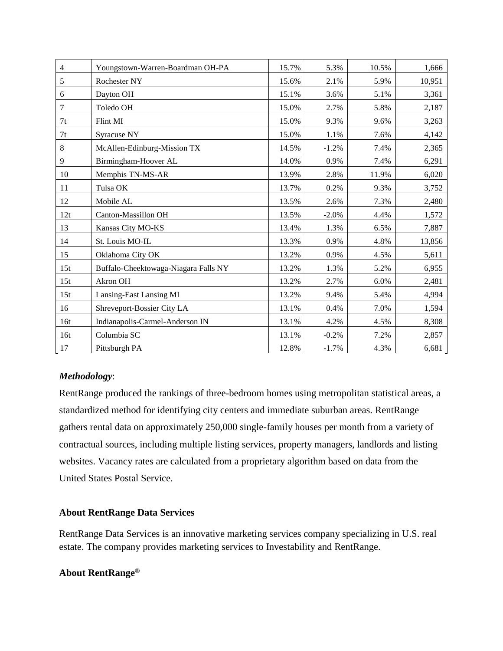| $\overline{4}$ | Youngstown-Warren-Boardman OH-PA     | 15.7% | 5.3%    | 10.5% | 1,666  |
|----------------|--------------------------------------|-------|---------|-------|--------|
| 5              | Rochester NY                         | 15.6% | 2.1%    | 5.9%  | 10,951 |
| 6              | Dayton OH                            | 15.1% | 3.6%    | 5.1%  | 3,361  |
| $\tau$         | Toledo OH                            | 15.0% | 2.7%    | 5.8%  | 2,187  |
| 7t             | Flint MI                             | 15.0% | 9.3%    | 9.6%  | 3,263  |
| 7t             | Syracuse NY                          | 15.0% | 1.1%    | 7.6%  | 4,142  |
| 8              | McAllen-Edinburg-Mission TX          | 14.5% | $-1.2%$ | 7.4%  | 2,365  |
| $\overline{9}$ | Birmingham-Hoover AL                 | 14.0% | 0.9%    | 7.4%  | 6,291  |
| 10             | Memphis TN-MS-AR                     | 13.9% | 2.8%    | 11.9% | 6,020  |
| 11             | Tulsa OK                             | 13.7% | 0.2%    | 9.3%  | 3,752  |
| 12             | Mobile AL                            | 13.5% | 2.6%    | 7.3%  | 2,480  |
| 12t            | Canton-Massillon OH                  | 13.5% | $-2.0%$ | 4.4%  | 1,572  |
| 13             | Kansas City MO-KS                    | 13.4% | 1.3%    | 6.5%  | 7,887  |
| 14             | St. Louis MO-IL                      | 13.3% | 0.9%    | 4.8%  | 13,856 |
| 15             | Oklahoma City OK                     | 13.2% | 0.9%    | 4.5%  | 5,611  |
| 15t            | Buffalo-Cheektowaga-Niagara Falls NY | 13.2% | 1.3%    | 5.2%  | 6,955  |
| 15t            | Akron OH                             | 13.2% | 2.7%    | 6.0%  | 2,481  |
| 15t            | Lansing-East Lansing MI              | 13.2% | 9.4%    | 5.4%  | 4,994  |
| 16             | Shreveport-Bossier City LA           | 13.1% | 0.4%    | 7.0%  | 1,594  |
| 16t            | Indianapolis-Carmel-Anderson IN      | 13.1% | 4.2%    | 4.5%  | 8,308  |
| 16t            | Columbia SC                          | 13.1% | $-0.2%$ | 7.2%  | 2,857  |
| 17             | Pittsburgh PA                        | 12.8% | $-1.7%$ | 4.3%  | 6,681  |

## *Methodology*:

RentRange produced the rankings of three-bedroom homes using metropolitan statistical areas, a standardized method for identifying city centers and immediate suburban areas. RentRange gathers rental data on approximately 250,000 single-family houses per month from a variety of contractual sources, including multiple listing services, property managers, landlords and listing websites. Vacancy rates are calculated from a proprietary algorithm based on data from the United States Postal Service.

## **About RentRange Data Services**

RentRange Data Services is an innovative marketing services company specializing in U.S. real estate. The company provides marketing services to Investability and RentRange.

## **About RentRange®**